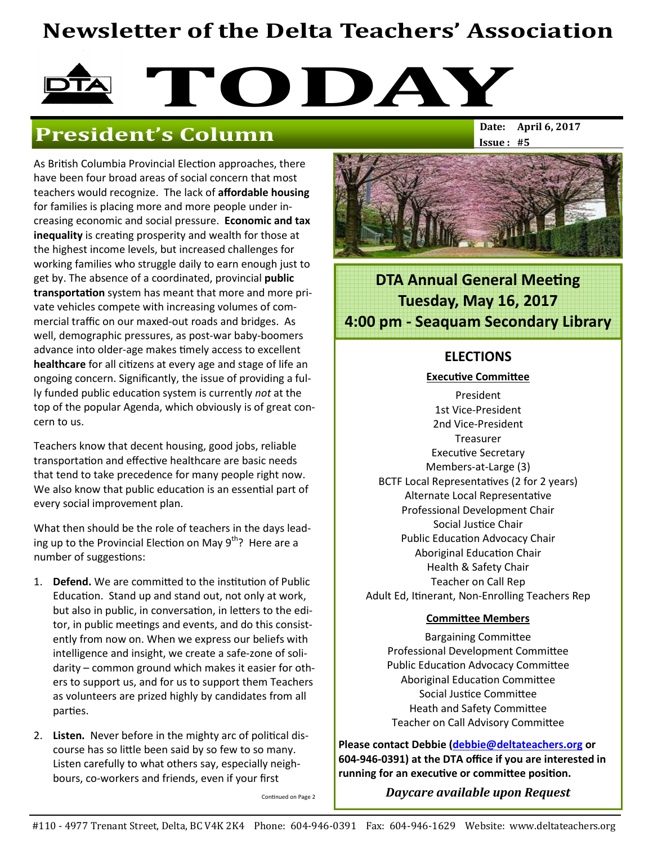# Newsletter of the Delta Teachers' Association

# TODAY

# **President's Column**

As British Columbia Provincial Election approaches, there have been four broad areas of social concern that most teachers would recognize. The lack of affordable housing for families is placing more and more people under increasing economic and social pressure. Economic and tax inequality is creating prosperity and wealth for those at the highest income levels, but increased challenges for working families who struggle daily to earn enough just to get by. The absence of a coordinated, provincial **public** transportation system has meant that more and more private vehicles compete with increasing volumes of commercial traffic on our maxed-out roads and bridges. As well, demographic pressures, as post-war baby-boomers advance into older-age makes timely access to excellent healthcare for all citizens at every age and stage of life an ongoing concern. Significantly, the issue of providing a fully funded public education system is currently not at the top of the popular Agenda, which obviously is of great concern to us.

Teachers know that decent housing, good jobs, reliable transportation and effective healthcare are basic needs that tend to take precedence for many people right now. We also know that public education is an essential part of every social improvement plan.

What then should be the role of teachers in the days leading up to the Provincial Election on May 9<sup>th</sup>? Here are a number of suggestions:

- 1. Defend. We are committed to the institution of Public Education. Stand up and stand out, not only at work, but also in public, in conversation, in letters to the editor, in public meetings and events, and do this consistently from now on. When we express our beliefs with intelligence and insight, we create a safe-zone of solidarity – common ground which makes it easier for others to support us, and for us to support them Teachers as volunteers are prized highly by candidates from all parties.
- 2. Listen. Never before in the mighty arc of political discourse has so little been said by so few to so many. Listen carefully to what others say, especially neighbours, co-workers and friends, even if your first

Continued on Page 2

 $Issue: #5$ 



**DTA Annual General Meeting** Tuesday, May 16, 2017 4:00 pm - Seaquam Secondary Library

### ELECTIONS

#### **Executive Committee**

President 1st Vice-President 2nd Vice-President Treasurer Executive Secretary Members-at-Large (3) BCTF Local Representatives (2 for 2 years) Alternate Local Representative Professional Development Chair Social Justice Chair Public Education Advocacy Chair Aboriginal Education Chair Health & Safety Chair Teacher on Call Rep Adult Ed, Itinerant, Non-Enrolling Teachers Rep

#### **Committee Members**

**Bargaining Committee** Professional Development Committee Public Education Advocacy Committee Aboriginal Education Committee Social Justice Committee Heath and Safety Committee Teacher on Call Advisory Committee

Please contact Debbie (debbie@deltateachers.org or 604-946-0391) at the DTA office if you are interested in running for an executive or committee position.

Daycare available upon Request